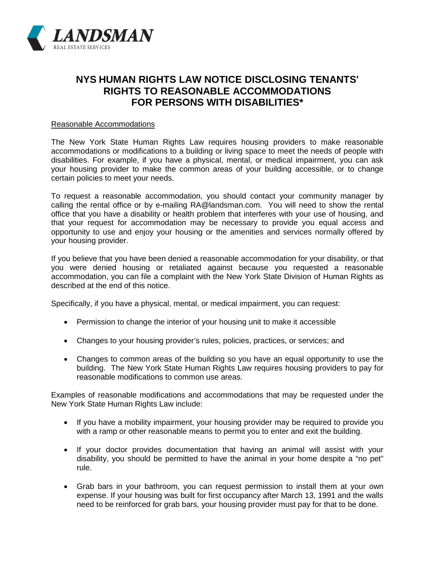

## **NYS HUMAN RIGHTS LAW NOTICE DISCLOSING TENANTS' RIGHTS TO REASONABLE ACCOMMODATIONS FOR PERSONS WITH DISABILITIES\***

## Reasonable Accommodations

The New York State Human Rights Law requires housing providers to make reasonable accommodations or modifications to a building or living space to meet the needs of people with disabilities. For example, if you have a physical, mental, or medical impairment, you can ask your housing provider to make the common areas of your building accessible, or to change certain policies to meet your needs.

To request a reasonable accommodation, you should contact your community manager by calling the rental office or by e-mailing RA@landsman.com. You will need to show the rental office that you have a disability or health problem that interferes with your use of housing, and that your request for accommodation may be necessary to provide you equal access and opportunity to use and enjoy your housing or the amenities and services normally offered by your housing provider.

If you believe that you have been denied a reasonable accommodation for your disability, or that you were denied housing or retaliated against because you requested a reasonable accommodation, you can file a complaint with the New York State Division of Human Rights as described at the end of this notice.

Specifically, if you have a physical, mental, or medical impairment, you can request:

- Permission to change the interior of your housing unit to make it accessible
- Changes to your housing provider's rules, policies, practices, or services; and
- Changes to common areas of the building so you have an equal opportunity to use the building. The New York State Human Rights Law requires housing providers to pay for reasonable modifications to common use areas.

Examples of reasonable modifications and accommodations that may be requested under the New York State Human Rights Law include:

- If you have a mobility impairment, your housing provider may be required to provide you with a ramp or other reasonable means to permit you to enter and exit the building.
- If your doctor provides documentation that having an animal will assist with your disability, you should be permitted to have the animal in your home despite a "no pet" rule.
- Grab bars in your bathroom, you can request permission to install them at your own expense. If your housing was built for first occupancy after March 13, 1991 and the walls need to be reinforced for grab bars, your housing provider must pay for that to be done.